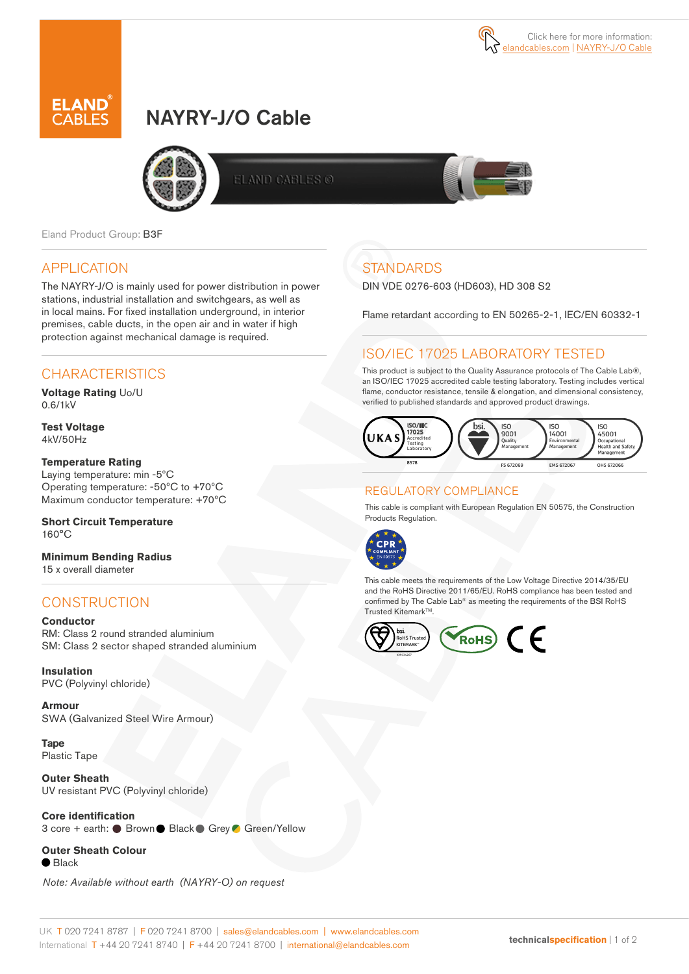



# NAYRY-J/O Cable



**ELAND CABLES @** 



Eland Product Group: B3F

### APPLICATION

The NAYRY-J/O is mainly used for power distribution in power stations, industrial installation and switchgears, as well as in local mains. For fixed installation underground, in interior premises, cable ducts, in the open air and in water if high protection against mechanical damage is required.

# **CHARACTERISTICS**

**Voltage Rating** Uo/U 0.6/1kV

**Test Voltage** 4kV/50Hz

#### **Temperature Rating**

Laying temperature: min -5ºC Operating temperature: -50ºC to +70ºC Maximum conductor temperature: +70ºC

**Short Circuit Temperature** 160°C

**Minimum Bending Radius**  15 x overall diameter

### **CONSTRUCTION**

**Conductor** RM: Class 2 round stranded aluminium SM: Class 2 sector shaped stranded aluminium

**Insulation** PVC (Polyvinyl chloride)

**Armour**  SWA (Galvanized Steel Wire Armour)

**Tape** Plastic Tape

**Outer Sheath**  UV resistant PVC (Polyvinyl chloride)

**Core identification**  3 core + earth: ● Brown ● Black ● Grey ● Green/Yellow

### **Outer Sheath Colour**

 $\bullet$  Black

Note: Available without earth (NAYRY-O) on request

# **STANDARDS**

DIN VDE 0276-603 (HD603), HD 308 S2

Flame retardant according to EN 50265-2-1, IEC/EN 60332-1

# ISO/IEC 17025 LABORATORY TESTED

This product is subject to the Quality Assurance protocols of The Cable Lab®, an ISO/IEC 17025 accredited cable testing laboratory. Testing includes vertical flame, conductor resistance, tensile & elongation, and dimensional consistency, verified to published standards and approved product drawings.



### REGULATORY COMPLIANCE

This cable is compliant with European Regulation EN 50575, the Construction Products Regulation.



This cable meets the requirements of the Low Voltage Directive 2014/35/EU and the RoHS Directive 2011/65/EU. RoHS compliance has been tested and confirmed by The Cable Lab® as meeting the requirements of the BSI RoHS Trusted Kitemark™.